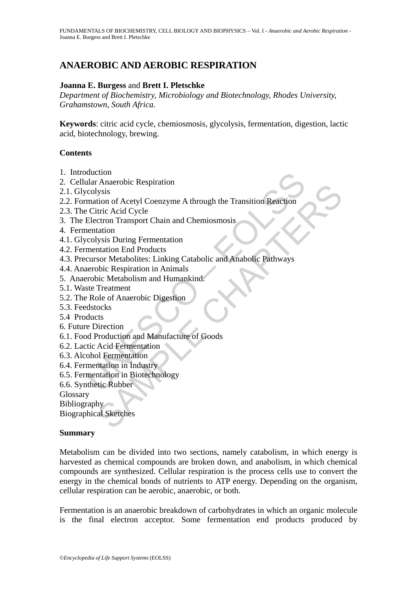# **ANAEROBIC AND AEROBIC RESPIRATION**

## **Joanna E. Burgess** and **Brett I. Pletschke**

*Department of Biochemistry, Microbiology and Biotechnology, Rhodes University, Grahamstown, South Africa.* 

**Keywords**: citric acid cycle, chemiosmosis, glycolysis, fermentation, digestion, lactic acid, biotechnology, brewing.

### **Contents**

- 1. Introduction
- 2. Cellular Anaerobic Respiration
- 2.1. Glycolysis
- duction<br>
ular Anaerobic Respiration<br>
colysis<br>
mation of Acetyl Coenzyme A through the Transition Reaction<br>
Citric Acid Cycle<br>
Electron Transport Chain and Chemiosmosis<br>
tentation<br>
mentation End Products<br>
cursor Metabolites Machion Respiration<br>
Sysis<br>
Sysis<br>
Sysis<br>
Sysis<br>
Sysis<br>
Sysis<br>
Sysis<br>
Sysis<br>
Curio Transport Chain and Chemiosmosis<br>
Lation<br>
Transport Chain and Chemiosmosis<br>
Actabolitics: Linking Catabolic and Anabolic Pathways<br>
Soic Mes 2.2. Formation of Acetyl Coenzyme A through the Transition Reaction
- 2.3. The Citric Acid Cycle
- 3. The Electron Transport Chain and Chemiosmosis
- 4. Fermentation
- 4.1. Glycolysis During Fermentation
- 4.2. Fermentation End Products
- 4.3. Precursor Metabolites: Linking Catabolic and Anabolic Pathways
- 4.4. Anaerobic Respiration in Animals
- 5. Anaerobic Metabolism and Humankind.
- 5.1. Waste Treatment
- 5.2. The Role of Anaerobic Digestion
- 5.3. Feedstocks
- 5.4 Products
- 6. Future Direction
- 6.1. Food Production and Manufacture of Goods
- 6.2. Lactic Acid Fermentation
- 6.3. Alcohol Fermentation
- 6.4. Fermentation in Industry
- 6.5. Fermentation in Biotechnology
- 6.6. Synthetic Rubber
- **Glossary**
- Bibliography

Biographical Sketches

### **Summary**

Metabolism can be divided into two sections, namely catabolism, in which energy is harvested as chemical compounds are broken down, and anabolism, in which chemical compounds are synthesized. Cellular respiration is the process cells use to convert the energy in the chemical bonds of nutrients to ATP energy. Depending on the organism, cellular respiration can be aerobic, anaerobic, or both.

Fermentation is an anaerobic breakdown of carbohydrates in which an organic molecule is the final electron acceptor. Some fermentation end products produced by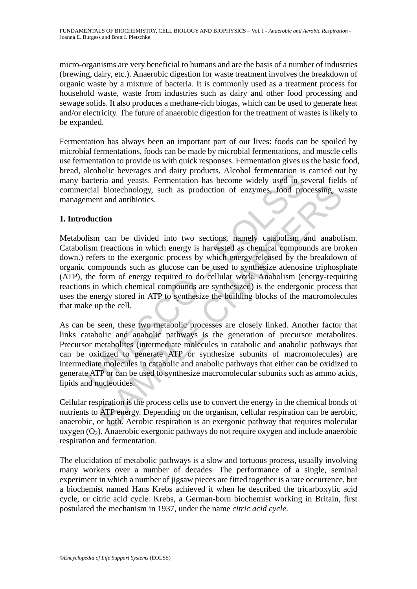micro-organisms are very beneficial to humans and are the basis of a number of industries (brewing, dairy, etc.). Anaerobic digestion for waste treatment involves the breakdown of organic waste by a mixture of bacteria. It is commonly used as a treatment process for household waste, waste from industries such as dairy and other food processing and sewage solids. It also produces a methane-rich biogas, which can be used to generate heat and/or electricity. The future of anaerobic digestion for the treatment of wastes is likely to be expanded.

Fermentation has always been an important part of our lives: foods can be spoiled by microbial fermentations, foods can be made by microbial fermentations, and muscle cells use fermentation to provide us with quick responses. Fermentation gives us the basic food, bread, alcoholic beverages and dairy products. Alcohol fermentation is carried out by many bacteria and yeasts. Fermentation has become widely used in several fields of commercial biotechnology, such as production of enzymes, food processing, waste management and antibiotics.

# **1. Introduction**

methemation is because and dary products. At the material and exercise and and products. At the secone widely used in seconal biotechnology, such as production of enzymes, food proment and antibiotics.<br> **duction**<br>
lism can If interestingly, such as production of enzymes, food processing, we<br>at and antibiotics.<br>trion<br>and an endotion in which energy is harvested as chemical components are bree<br>streton in care divided into two sections, namely Metabolism can be divided into two sections, namely catabolism and anabolism. Catabolism (reactions in which energy is harvested as chemical compounds are broken down.) refers to the exergonic process by which energy released by the breakdown of organic compounds such as glucose can be used to synthesize adenosine triphosphate (ATP), the form of energy required to do cellular work. Anabolism (energy-requiring reactions in which chemical compounds are synthesized) is the endergonic process that uses the energy stored in ATP to synthesize the building blocks of the macromolecules that make up the cell.

As can be seen, these two metabolic processes are closely linked. Another factor that links catabolic and anabolic pathways is the generation of precursor metabolites. Precursor metabolites (intermediate molecules in catabolic and anabolic pathways that can be oxidized to generate ATP or synthesize subunits of macromolecules) are intermediate molecules in catabolic and anabolic pathways that either can be oxidized to generate ATP or can be used to synthesize macromolecular subunits such as ammo acids, lipids and nucleotides.

Cellular respiration is the process cells use to convert the energy in the chemical bonds of nutrients to ATP energy. Depending on the organism, cellular respiration can be aerobic, anaerobic, or both. Aerobic respiration is an exergonic pathway that requires molecular  $oxygen (O<sub>2</sub>)$ . Anaerobic exergonic pathways do not require  $oxygen$  and include anaerobic respiration and fermentation.

The elucidation of metabolic pathways is a slow and tortuous process, usually involving many workers over a number of decades. The performance of a single, seminal experiment in which a number of jigsaw pieces are fitted together is a rare occurrence, but a biochemist named Hans Krebs achieved it when he described the tricarboxylic acid cycle, or citric acid cycle. Krebs, a German-born biochemist working in Britain, first postulated the mechanism in 1937, under the name *citric acid cycle*.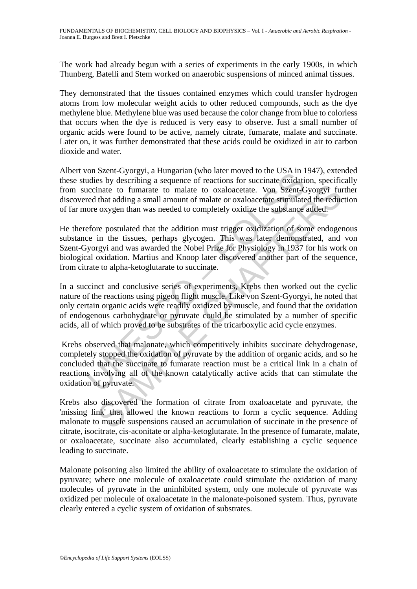The work had already begun with a series of experiments in the early 1900s, in which Thunberg, Batelli and Stem worked on anaerobic suspensions of minced animal tissues.

They demonstrated that the tissues contained enzymes which could transfer hydrogen atoms from low molecular weight acids to other reduced compounds, such as the dye methylene blue. Methylene blue was used because the color change from blue to colorless that occurs when the dye is reduced is very easy to observe. Just a small number of organic acids were found to be active, namely citrate, fumarate, malate and succinate. Later on, it was further demonstrated that these acids could be oxidized in air to carbon dioxide and water.

Albert von Szent-Gyorgyi, a Hungarian (who later moved to the USA in 1947), extended these studies by describing a sequence of reactions for succinate oxidation, specifically from succinate to fumarate to malate to oxaloacetate. Von Szent-Gyorgyi further discovered that adding a small amount of malate or oxaloacetate stimulated the reduction of far more oxygen than was needed to completely oxidize the substance added.

He therefore postulated that the addition must trigger oxidization of some endogenous substance in the tissues, perhaps glycogen. This was later demonstrated, and von Szent-Gyorgyi and was awarded the Nobel Prize for Physiology in 1937 for his work on biological oxidation. Martius and Knoop later discovered another part of the sequence, from citrate to alpha-ketoglutarate to succinate.

Follow and two fact involved to the CoST in the CoST in the CoST in and the cost in the cost in the cost in the conduction due to oxaloacetate. Von Szent-Gred that adding a sequence of reactions for succinate oxidation cor inate to fumarate to malate to oxaloacetate. Von Szent-Gyorgyi fund and the community and an anomin of malate to oxaloacetate. Von Szent-Gyorgyi fund and alding a small amount of malate or oxaloacetate stimulated the reduc In a succinct and conclusive series of experiments, Krebs then worked out the cyclic nature of the reactions using pigeon flight muscle. Like von Szent-Gyorgyi, he noted that only certain organic acids were readily oxidized by muscle, and found that the oxidation of endogenous carbohydrate or pyruvate could be stimulated by a number of specific acids, all of which proved to be substrates of the tricarboxylic acid cycle enzymes.

 Krebs observed that malonate, which competitively inhibits succinate dehydrogenase, completely stopped the oxidation of pyruvate by the addition of organic acids, and so he concluded that the succinate to fumarate reaction must be a critical link in a chain of reactions involving all of the known catalytically active acids that can stimulate the oxidation of pyruvate.

Krebs also discovered the formation of citrate from oxaloacetate and pyruvate, the 'missing link' that allowed the known reactions to form a cyclic sequence. Adding malonate to muscle suspensions caused an accumulation of succinate in the presence of citrate, isocitrate, cis-aconitate or alpha-ketoglutarate. In the presence of fumarate, malate, or oxaloacetate, succinate also accumulated, clearly establishing a cyclic sequence leading to succinate.

Malonate poisoning also limited the ability of oxaloacetate to stimulate the oxidation of pyruvate; where one molecule of oxaloacetate could stimulate the oxidation of many molecules of pyruvate in the uninhibited system, only one molecule of pyruvate was oxidized per molecule of oxaloacetate in the malonate-poisoned system. Thus, pyruvate clearly entered a cyclic system of oxidation of substrates.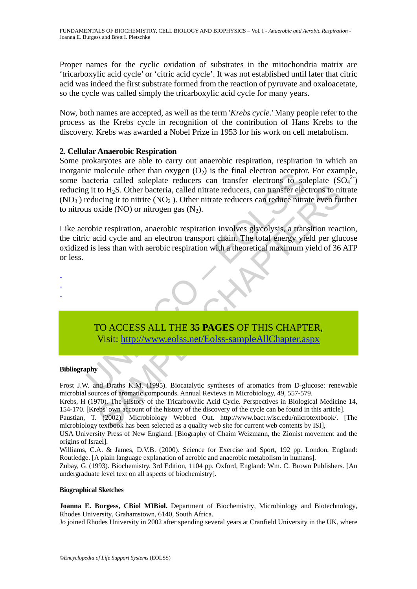Proper names for the cyclic oxidation of substrates in the mitochondria matrix are 'tricarboxylic acid cycle' or 'citric acid cycle'. It was not established until later that citric acid was indeed the first substrate formed from the reaction of pyruvate and oxaloacetate, so the cycle was called simply the tricarboxylic acid cycle for many years.

Now, both names are accepted, as well as the term '*Krebs cycle*.' Many people refer to the process as the Krebs cycle in recognition of the contribution of Hans Krebs to the discovery. Krebs was awarded a Nobel Prize in 1953 for his work on cell metabolism.

# **2. Cellular Anaerobic Respiration**

in the information and oxygen (O2) is use mind exercitive direction acceptometric called soleplate reducers can transfer electrons to so<br>acteria called soleplate reducers can transfer electrons to so<br>g it to H<sub>2</sub>S. Other b Some prokaryotes are able to carry out anaerobic respiration, respiration in which an inorganic molecule other than oxygen  $(O_2)$  is the final electron acceptor. For example, some bacteria called soleplate reducers can transfer electrons to soleplate  $(SO<sub>4</sub><sup>2</sup>)$ reducing it to H<sub>2</sub>S. Other bacteria, called nitrate reducers, can transfer electrons to nitrate  $(NO<sub>3</sub>)$  reducing it to nitrite  $(NO<sub>2</sub>)$ . Other nitrate reducers can reduce nitrate even further to nitrous oxide (NO) or nitrogen gas  $(N_2)$ .

to H<sub>2</sub>S. Other bacteria, called nitrate reducers, can transfer electrons to this control to H<sub>2</sub>S. Other bacteria, called nitrate reducers can transfer electrons to incing it to nitrite  $(NO_2)$ . Other nitrate reducers ca Like aerobic respiration, anaerobic respiration involves glycolysis, a transition reaction, the citric acid cycle and an electron transport chain. The total energy yield per glucose oxidized is less than with aerobic respiration with a theoretical maximum yield of 36 ATP or less.



TO ACCESS ALL THE **35 PAGES** OF THIS CHAPTER, Visit: http://www.eolss.net/Eolss-sampleAllChapter.aspx

#### **Bibliography**

Frost J.W. and Draths K.M. (1995). Biocatalytic syntheses of aromatics from D-glucose: renewable microbial sources of aromatic compounds. Annual Reviews in Microbiology, 49, 557-579.

Krebs, H (1970). The History of the Tricarboxylic Acid Cycle. Perspectives in Biological Medicine 14, 154-170. [Krebs' own account of the history of the discovery of the cycle can be found in this article].

Paustian, T. (2002). Microbiology Webbed Out. http://www.bact.wisc.edu/niicrotextbook/. [The microbiology textbook has been selected as a quality web site for current web contents by ISI],

USA University Press of New England. [Biography of Chaim Weizmann, the Zionist movement and the origins of Israel].

Williams, C.A. & James, D.V.B. (2000). Science for Exercise and Sport, 192 pp. London, England: Routledge. [A plain language explanation of aerobic and anaerobic metabolism in humans].

Zubay, G. (1993). Biochemistry. 3rd Edition, 1104 pp. Oxford, England: Wm. C. Brown Publishers. [An undergraduate level text on all aspects of biochemistry].

#### **Biographical Sketches**

**Joanna E. Burgess, CBiol MIBiol.** Department of Biochemistry, Microbiology and Biotechnology, Rhodes University, Grahamstown, 6140, South Africa.

Jo joined Rhodes University in 2002 after spending several years at Cranfield University in the UK, where